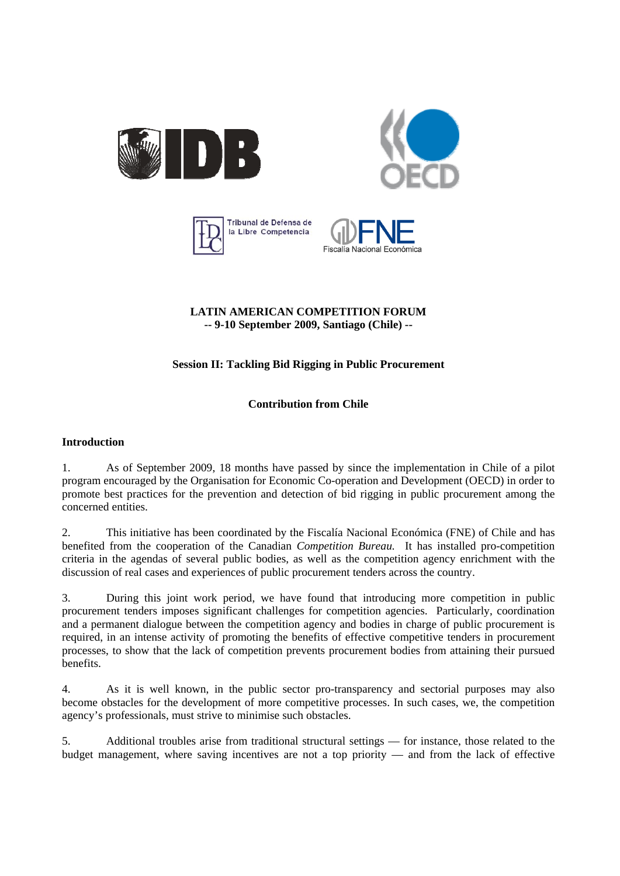







## **LATIN AMERICAN COMPETITION FORUM -- 9-10 September 2009, Santiago (Chile) --**

# **Session II: Tackling Bid Rigging in Public Procurement**

# **Contribution from Chile**

## **Introduction**

1. As of September 2009, 18 months have passed by since the implementation in Chile of a pilot program encouraged by the Organisation for Economic Co-operation and Development (OECD) in order to promote best practices for the prevention and detection of bid rigging in public procurement among the concerned entities.

2. This initiative has been coordinated by the Fiscalía Nacional Económica (FNE) of Chile and has benefited from the cooperation of the Canadian *Competition Bureau.* It has installed pro-competition criteria in the agendas of several public bodies, as well as the competition agency enrichment with the discussion of real cases and experiences of public procurement tenders across the country.

3. During this joint work period, we have found that introducing more competition in public procurement tenders imposes significant challenges for competition agencies. Particularly, coordination and a permanent dialogue between the competition agency and bodies in charge of public procurement is required, in an intense activity of promoting the benefits of effective competitive tenders in procurement processes, to show that the lack of competition prevents procurement bodies from attaining their pursued benefits.

4. As it is well known, in the public sector pro-transparency and sectorial purposes may also become obstacles for the development of more competitive processes. In such cases, we, the competition agency's professionals, must strive to minimise such obstacles.

5. Additional troubles arise from traditional structural settings — for instance, those related to the budget management, where saving incentives are not a top priority — and from the lack of effective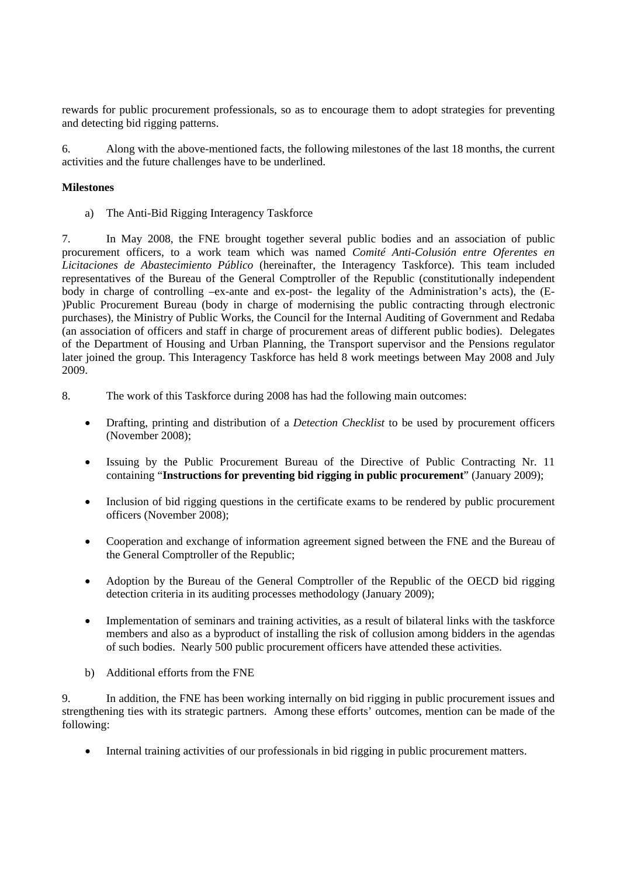rewards for public procurement professionals, so as to encourage them to adopt strategies for preventing and detecting bid rigging patterns.

6. Along with the above-mentioned facts, the following milestones of the last 18 months, the current activities and the future challenges have to be underlined.

### **Milestones**

a) The Anti-Bid Rigging Interagency Taskforce

7. In May 2008, the FNE brought together several public bodies and an association of public procurement officers, to a work team which was named *Comité Anti-Colusión entre Oferentes en Licitaciones de Abastecimiento Público* (hereinafter, the Interagency Taskforce). This team included representatives of the Bureau of the General Comptroller of the Republic (constitutionally independent body in charge of controlling –ex-ante and ex-post- the legality of the Administration's acts)*,* the (E- )Public Procurement Bureau (body in charge of modernising the public contracting through electronic purchases), the Ministry of Public Works, the Council for the Internal Auditing of Government and Redaba (an association of officers and staff in charge of procurement areas of different public bodies). Delegates of the Department of Housing and Urban Planning, the Transport supervisor and the Pensions regulator later joined the group. This Interagency Taskforce has held 8 work meetings between May 2008 and July 2009.

- 8. The work of this Taskforce during 2008 has had the following main outcomes:
	- Drafting, printing and distribution of a *Detection Checklist* to be used by procurement officers (November 2008);
	- Issuing by the Public Procurement Bureau of the Directive of Public Contracting Nr. 11 containing "**Instructions for preventing bid rigging in public procurement**" (January 2009);
	- Inclusion of bid rigging questions in the certificate exams to be rendered by public procurement officers (November 2008);
	- Cooperation and exchange of information agreement signed between the FNE and the Bureau of the General Comptroller of the Republic;
	- Adoption by the Bureau of the General Comptroller of the Republic of the OECD bid rigging detection criteria in its auditing processes methodology (January 2009);
	- Implementation of seminars and training activities, as a result of bilateral links with the taskforce members and also as a byproduct of installing the risk of collusion among bidders in the agendas of such bodies. Nearly 500 public procurement officers have attended these activities.
	- b) Additional efforts from the FNE

9. In addition, the FNE has been working internally on bid rigging in public procurement issues and strengthening ties with its strategic partners. Among these efforts' outcomes, mention can be made of the following:

• Internal training activities of our professionals in bid rigging in public procurement matters.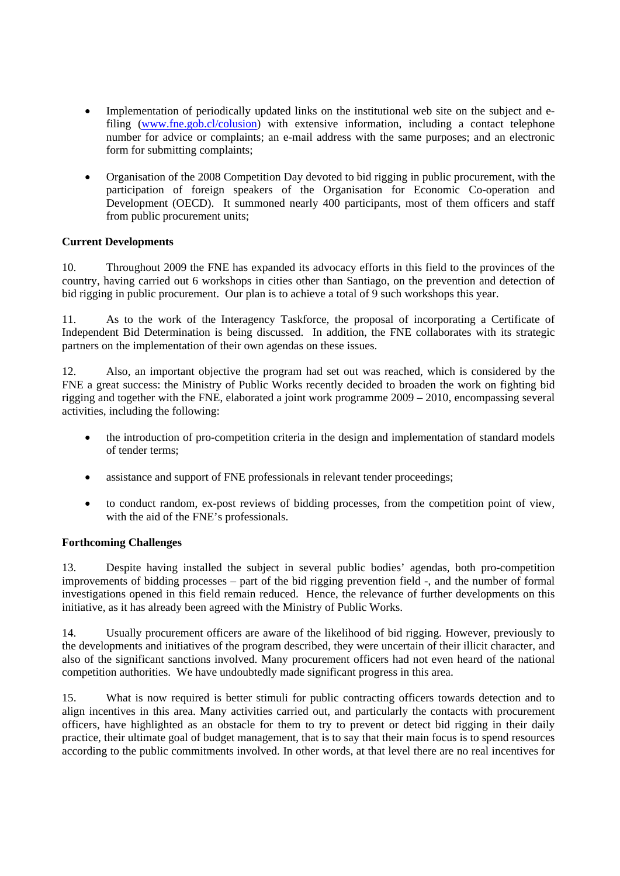- Implementation of periodically updated links on the institutional web site on the subject and efiling [\(www.fne.gob.cl/colusion\)](http://www.fne.gob.cl/colusion) with extensive information, including a contact telephone number for advice or complaints; an e-mail address with the same purposes; and an electronic form for submitting complaints;
- Organisation of the 2008 Competition Day devoted to bid rigging in public procurement, with the participation of foreign speakers of the Organisation for Economic Co-operation and Development (OECD). It summoned nearly 400 participants, most of them officers and staff from public procurement units;

## **Current Developments**

10. Throughout 2009 the FNE has expanded its advocacy efforts in this field to the provinces of the country, having carried out 6 workshops in cities other than Santiago, on the prevention and detection of bid rigging in public procurement. Our plan is to achieve a total of 9 such workshops this year.

11. As to the work of the Interagency Taskforce, the proposal of incorporating a Certificate of Independent Bid Determination is being discussed. In addition, the FNE collaborates with its strategic partners on the implementation of their own agendas on these issues.

12. Also, an important objective the program had set out was reached, which is considered by the FNE a great success: the Ministry of Public Works recently decided to broaden the work on fighting bid rigging and together with the FNE, elaborated a joint work programme 2009 – 2010, encompassing several activities, including the following:

- the introduction of pro-competition criteria in the design and implementation of standard models of tender terms;
- assistance and support of FNE professionals in relevant tender proceedings:
- to conduct random, ex-post reviews of bidding processes, from the competition point of view, with the aid of the FNE's professionals.

## **Forthcoming Challenges**

13. Despite having installed the subject in several public bodies' agendas, both pro-competition improvements of bidding processes – part of the bid rigging prevention field -, and the number of formal investigations opened in this field remain reduced. Hence, the relevance of further developments on this initiative, as it has already been agreed with the Ministry of Public Works.

14. Usually procurement officers are aware of the likelihood of bid rigging. However, previously to the developments and initiatives of the program described, they were uncertain of their illicit character, and also of the significant sanctions involved. Many procurement officers had not even heard of the national competition authorities. We have undoubtedly made significant progress in this area.

15. What is now required is better stimuli for public contracting officers towards detection and to align incentives in this area. Many activities carried out, and particularly the contacts with procurement officers, have highlighted as an obstacle for them to try to prevent or detect bid rigging in their daily practice, their ultimate goal of budget management, that is to say that their main focus is to spend resources according to the public commitments involved. In other words, at that level there are no real incentives for